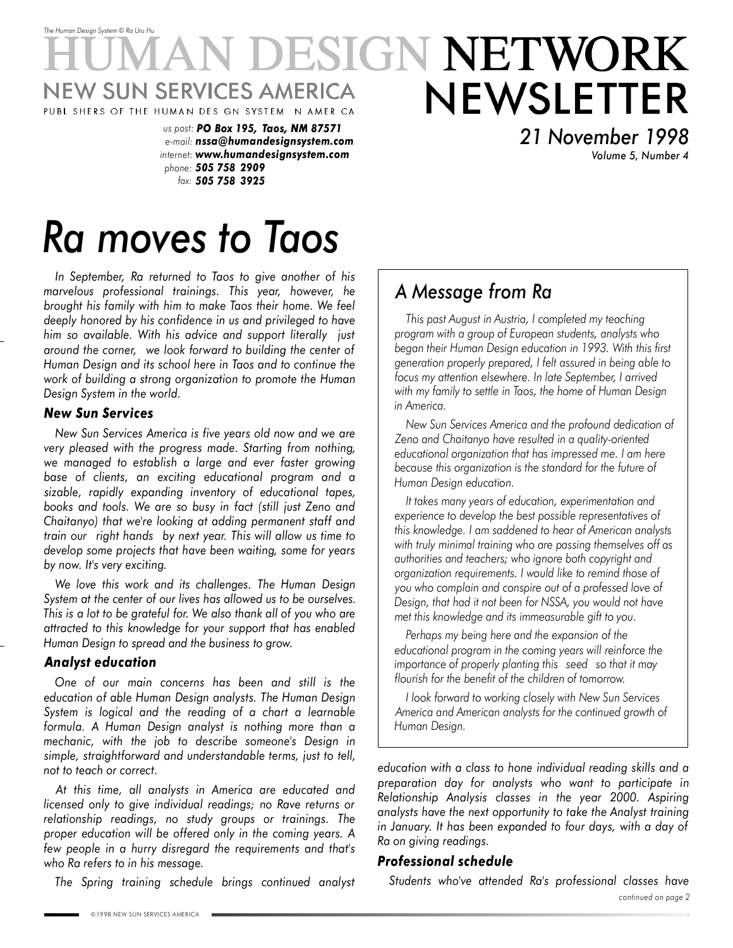### *The Human Design System* © *Ra Uru Hu* ESIGN NETWORK W SUN SERVICES AMERICA NEWSLETTER PUBL SHERS OF THE HUMAN DES GN SYSTEM NAMER CA

*us post: PO Box 195, Taos, NM 87571 e-mail: nssa@humandesignsystem.com internet: www.humandesignsystem.com phone: 505 758 2909 fax: 505 758 3925*

*21 November 1998 Volume 5, Number 4*

# *Ra moves to Taos*

*In September, Ra returned to Taos to give another of his marvelous professional trainings. This year, however, he brought his family with him to make Taos their home. We feel deeply honored by his confidence in us and privileged to have him so available. With his advice and support literally just around the corner, we look forward to building the center of Human Design and its school here in Taos and to continue the work of building a strong organization to promote the Human Design System in the world.*

### *New Sun Services*

*New Sun Services America is five years old now and we are very pleased with the progress made. Starting from nothing, we managed to establish a large and ever faster growing base of clients, an exciting educational program and a sizable, rapidly expanding inventory of educational tapes, books and tools. We are so busy in fact (still just Zeno and Chaitanyo) that we're looking at adding permanent staff and train our right hands by next year. This will allow us time to develop some projects that have been waiting, some for years by now. It's very exciting.*

*We love this work and its challenges. The Human Design System at the center of our lives has allowed us to be ourselves. This is a lot to be grateful for. We also thank all of you who are attracted to this knowledge for your support that has enabled Human Design to spread and the business to grow.*

### *Analyst education*

*One of our main concerns has been and still is the education of able Human Design analysts. The Human Design System is logical and the reading of a chart a learnable formula. A Human Design analyst is nothing more than a mechanic, with the job to describe someone's Design in simple, straightforward and understandable terms, just to tell, not to teach or correct.*

*At this time, all analysts in America are educated and licensed only to give individual readings; no Rave returns or relationship readings, no study groups or trainings. The proper education will be offered only in the coming years. A few people in a hurry disregard the requirements and that's who Ra refers to in his message.*

*The Spring training schedule brings continued analyst*

## *A Message from Ra*

*This past August in Austria, I completed my teaching program with a group of European students, analysts who began their Human Design education in 1993. With this first generation properly prepared, I felt assured in being able to focus my attention elsewhere. In late September, I arrived with my family to settle in Taos, the home of Human Design in America.*

*New Sun Services America and the profound dedication of Zeno and Chaitanyo have resulted in a quality-oriented educational organization that has impressed me. I am here because this organization is the standard for the future of Human Design education.*

*It takes many years of education, experimentation and experience to develop the best possible representatives of this knowledge. I am saddened to hear of American analysts with truly minimal training who are passing themselves off as authorities and teachers; who ignore both copyright and organization requirements. I would like to remind those of you who complain and conspire out of a professed love of Design, that had it not been for NSSA, you would not have met this knowledge and its immeasurable gift to you.*

*Perhaps my being here and the expansion of the educational program in the coming years will reinforce the importance of properly planting this seed so that it may flourish for the benefit of the children of tomorrow.*

*I look forward to working closely with New Sun Services America and American analysts for the continued growth of Human Design.*

*education with a class to hone individual reading skills and a preparation day for analysts who want to participate in Relationship Analysis classes in the year 2000. Aspiring analysts have the next opportunity to take the Analyst training in January. It has been expanded to four days, with a day of Ra on giving readings.*

### *Professional schedule*

*continued on page 2 Students who've attended Ra's professional classes have*